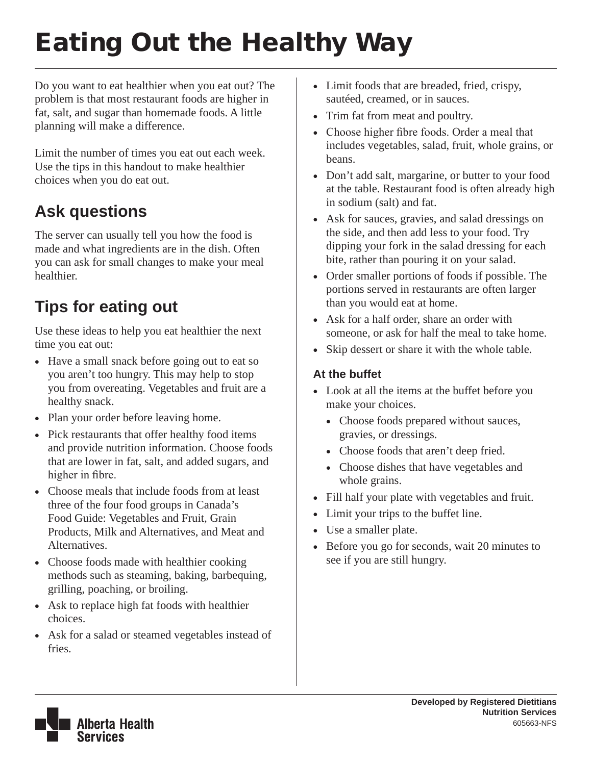# Eating Out the Healthy Way

Do you want to eat healthier when you eat out? The problem is that most restaurant foods are higher in fat, salt, and sugar than homemade foods. A little planning will make a difference.

Limit the number of times you eat out each week. Use the tips in this handout to make healthier choices when you do eat out.

# **Ask questions**

The server can usually tell you how the food is made and what ingredients are in the dish. Often you can ask for small changes to make your meal healthier.

# **Tips for eating out**

Use these ideas to help you eat healthier the next time you eat out:

- Have a small snack before going out to eat so you aren't too hungry. This may help to stop you from overeating. Vegetables and fruit are a healthy snack.
- Plan your order before leaving home.
- Pick restaurants that offer healthy food items and provide nutrition information. Choose foods that are lower in fat, salt, and added sugars, and higher in fibre.
- Choose meals that include foods from at least three of the four food groups in Canada's Food Guide: Vegetables and Fruit, Grain Products, Milk and Alternatives, and Meat and Alternatives.
- Choose foods made with healthier cooking methods such as steaming, baking, barbequing, grilling, poaching, or broiling.
- Ask to replace high fat foods with healthier choices.
- Ask for a salad or steamed vegetables instead of fries.
- Limit foods that are breaded, fried, crispy, sautéed, creamed, or in sauces.
- Trim fat from meat and poultry.
- Choose higher fibre foods. Order a meal that includes vegetables, salad, fruit, whole grains, or beans.
- Don't add salt, margarine, or butter to your food at the table. Restaurant food is often already high in sodium (salt) and fat.
- Ask for sauces, gravies, and salad dressings on the side, and then add less to your food. Try dipping your fork in the salad dressing for each bite, rather than pouring it on your salad.
- • Order smaller portions of foods if possible. The portions served in restaurants are often larger than you would eat at home.
- Ask for a half order, share an order with someone, or ask for half the meal to take home.
- Skip dessert or share it with the whole table.

#### **At the buffet**

- Look at all the items at the buffet before you make your choices.
	- Choose foods prepared without sauces, gravies, or dressings.
	- • Choose foods that aren't deep fried.
	- Choose dishes that have vegetables and whole grains.
- • Fill half your plate with vegetables and fruit.
- Limit your trips to the buffet line.
- Use a smaller plate.
- Before you go for seconds, wait 20 minutes to see if you are still hungry.

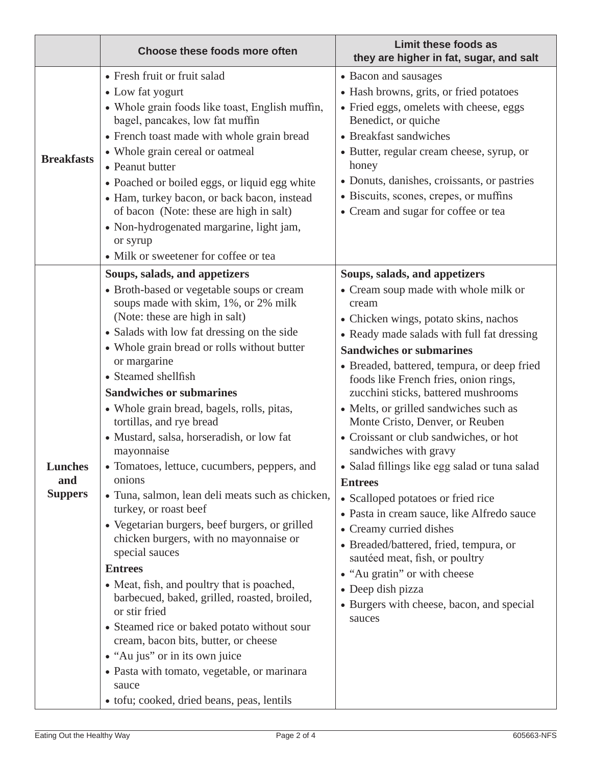|                                  | <b>Choose these foods more often</b>                                                                                                                                                                                                                                                                                                                                                                                                                                                                                                                                                                                                                                                                                                                                                                                                                                                                                                                                                                                                                                                  | Limit these foods as<br>they are higher in fat, sugar, and salt                                                                                                                                                                                                                                                                                                                                                                                                                                                                                                                                                                                                                                                                                                                                                                                                   |
|----------------------------------|---------------------------------------------------------------------------------------------------------------------------------------------------------------------------------------------------------------------------------------------------------------------------------------------------------------------------------------------------------------------------------------------------------------------------------------------------------------------------------------------------------------------------------------------------------------------------------------------------------------------------------------------------------------------------------------------------------------------------------------------------------------------------------------------------------------------------------------------------------------------------------------------------------------------------------------------------------------------------------------------------------------------------------------------------------------------------------------|-------------------------------------------------------------------------------------------------------------------------------------------------------------------------------------------------------------------------------------------------------------------------------------------------------------------------------------------------------------------------------------------------------------------------------------------------------------------------------------------------------------------------------------------------------------------------------------------------------------------------------------------------------------------------------------------------------------------------------------------------------------------------------------------------------------------------------------------------------------------|
| <b>Breakfasts</b>                | • Fresh fruit or fruit salad<br>• Low fat yogurt<br>• Whole grain foods like toast, English muffin,<br>bagel, pancakes, low fat muffin<br>• French toast made with whole grain bread<br>• Whole grain cereal or oatmeal<br>• Peanut butter<br>• Poached or boiled eggs, or liquid egg white<br>• Ham, turkey bacon, or back bacon, instead<br>of bacon (Note: these are high in salt)<br>• Non-hydrogenated margarine, light jam,<br>or syrup<br>• Milk or sweetener for coffee or tea                                                                                                                                                                                                                                                                                                                                                                                                                                                                                                                                                                                                | • Bacon and sausages<br>• Hash browns, grits, or fried potatoes<br>· Fried eggs, omelets with cheese, eggs<br>Benedict, or quiche<br>• Breakfast sandwiches<br>• Butter, regular cream cheese, syrup, or<br>honey<br>• Donuts, danishes, croissants, or pastries<br>• Biscuits, scones, crepes, or muffins<br>• Cream and sugar for coffee or tea                                                                                                                                                                                                                                                                                                                                                                                                                                                                                                                 |
| Lunches<br>and<br><b>Suppers</b> | Soups, salads, and appetizers<br>• Broth-based or vegetable soups or cream<br>soups made with skim, 1%, or 2% milk<br>(Note: these are high in salt)<br>• Salads with low fat dressing on the side<br>• Whole grain bread or rolls without butter<br>or margarine<br>• Steamed shellfish<br><b>Sandwiches or submarines</b><br>• Whole grain bread, bagels, rolls, pitas,<br>tortillas, and rye bread<br>• Mustard, salsa, horseradish, or low fat<br>mayonnaise<br>• Tomatoes, lettuce, cucumbers, peppers, and<br>onions<br>• Tuna, salmon, lean deli meats such as chicken,<br>turkey, or roast beef<br>• Vegetarian burgers, beef burgers, or grilled<br>chicken burgers, with no mayonnaise or<br>special sauces<br><b>Entrees</b><br>• Meat, fish, and poultry that is poached,<br>barbecued, baked, grilled, roasted, broiled,<br>or stir fried<br>• Steamed rice or baked potato without sour<br>cream, bacon bits, butter, or cheese<br>• "Au jus" or in its own juice<br>• Pasta with tomato, vegetable, or marinara<br>sauce<br>• tofu; cooked, dried beans, peas, lentils | Soups, salads, and appetizers<br>• Cream soup made with whole milk or<br>cream<br>• Chicken wings, potato skins, nachos<br>• Ready made salads with full fat dressing<br><b>Sandwiches or submarines</b><br>• Breaded, battered, tempura, or deep fried<br>foods like French fries, onion rings,<br>zucchini sticks, battered mushrooms<br>• Melts, or grilled sandwiches such as<br>Monte Cristo, Denver, or Reuben<br>• Croissant or club sandwiches, or hot<br>sandwiches with gravy<br>· Salad fillings like egg salad or tuna salad<br><b>Entrees</b><br>• Scalloped potatoes or fried rice<br>• Pasta in cream sauce, like Alfredo sauce<br>• Creamy curried dishes<br>• Breaded/battered, fried, tempura, or<br>sautéed meat, fish, or poultry<br>• "Au gratin" or with cheese<br>• Deep dish pizza<br>• Burgers with cheese, bacon, and special<br>sauces |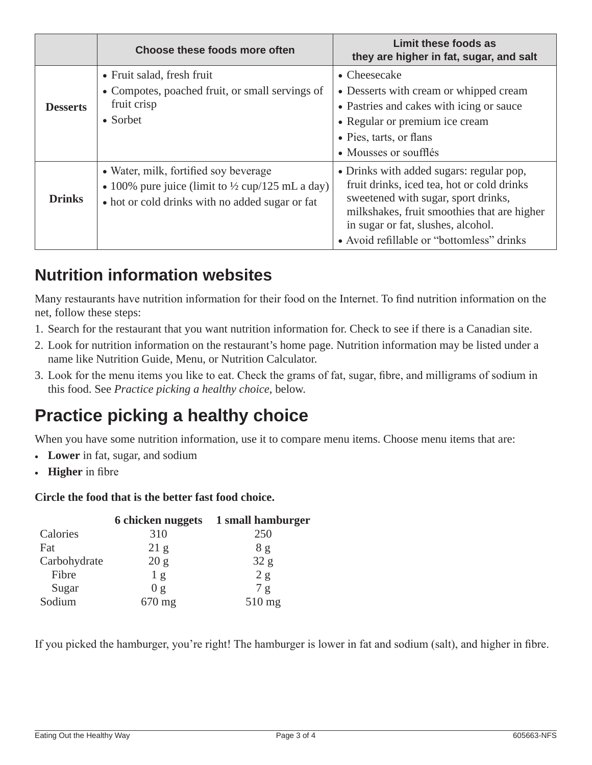|                 | Choose these foods more often                                                                                                                           | Limit these foods as<br>they are higher in fat, sugar, and salt                                                                                                                                                                                                 |
|-----------------|---------------------------------------------------------------------------------------------------------------------------------------------------------|-----------------------------------------------------------------------------------------------------------------------------------------------------------------------------------------------------------------------------------------------------------------|
| <b>Desserts</b> | • Fruit salad, fresh fruit<br>• Compotes, poached fruit, or small servings of<br>fruit crisp<br>• Sorbet                                                | • Cheesecake<br>• Desserts with cream or whipped cream<br>• Pastries and cakes with icing or sauce<br>• Regular or premium ice cream<br>• Pies, tarts, or flans<br>• Mousses or soufflés                                                                        |
| <b>Drinks</b>   | • Water, milk, fortified soy beverage<br>• 100% pure juice (limit to $\frac{1}{2}$ cup/125 mL a day)<br>• hot or cold drinks with no added sugar or fat | • Drinks with added sugars: regular pop,<br>fruit drinks, iced tea, hot or cold drinks<br>sweetened with sugar, sport drinks,<br>milkshakes, fruit smoothies that are higher<br>in sugar or fat, slushes, alcohol.<br>• Avoid refillable or "bottomless" drinks |

### **Nutrition information websites**

Many restaurants have nutrition information for their food on the Internet. To find nutrition information on the net, follow these steps:

- 1. Search for the restaurant that you want nutrition information for. Check to see if there is a Canadian site.
- 2. Look for nutrition information on the restaurant's home page. Nutrition information may be listed under a name like Nutrition Guide, Menu, or Nutrition Calculator.
- 3. Look for the menu items you like to eat. Check the grams of fat, sugar, fibre, and milligrams of sodium in this food. See *Practice picking a healthy choice*, below.

## **Practice picking a healthy choice**

When you have some nutrition information, use it to compare menu items. Choose menu items that are:

- • **Lower** in fat, sugar, and sodium
- • **Higher** in fibre

#### **Circle the food that is the better fast food choice.**

|              | <b>6</b> chicken nuggets | 1 small hamburger |
|--------------|--------------------------|-------------------|
| Calories     | 310                      | 250               |
| Fat          | 21 g                     | 8g                |
| Carbohydrate | 20 g                     | 32 g              |
| Fibre        | 1 <sub>g</sub>           | 2 g               |
| Sugar        | 0 g                      | 7 g               |
| Sodium       | 670 mg                   | 510 mg            |

If you picked the hamburger, you're right! The hamburger is lower in fat and sodium (salt), and higher in fibre.